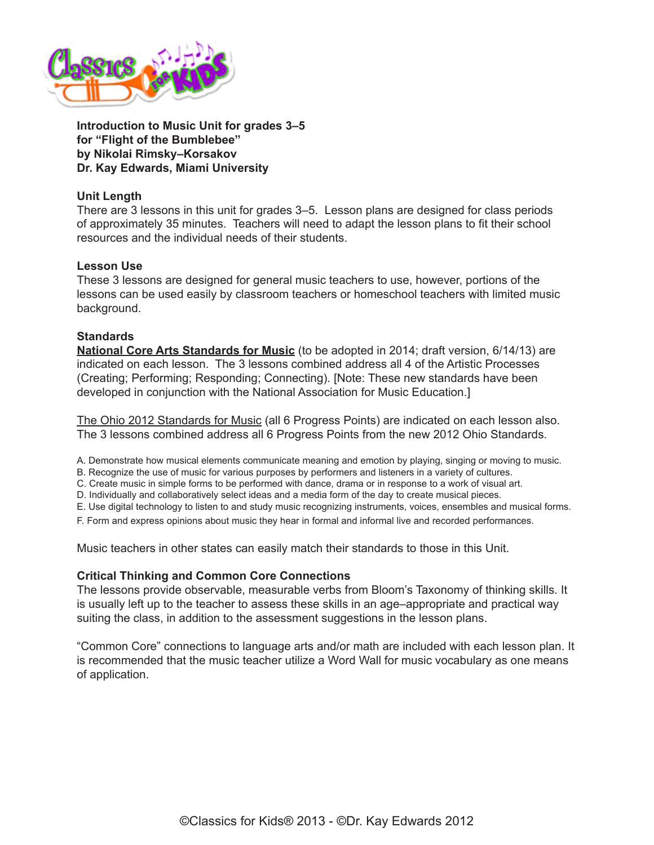

**Introduction to Music Unit for grades 3–5 for "Flight of the Bumblebee" by Nikolai Rimsky–Korsakov Dr. Kay Edwards, Miami University**

## **Unit Length**

There are 3 lessons in this unit for grades 3–5. Lesson plans are designed for class periods of approximately 35 minutes. Teachers will need to adapt the lesson plans to fit their school resources and the individual needs of their students.

### **Lesson Use**

These 3 lessons are designed for general music teachers to use, however, portions of the lessons can be used easily by classroom teachers or homeschool teachers with limited music background.

### **Standards**

**[National Core Arts Standards for Music](http://nccas.wikispaces.com/National+Core+Arts+Standards+Framework+Matrix)** (to be adopted in 2014; draft version, 6/14/13) are indicated on each lesson. The 3 lessons combined address all 4 of the Artistic Processes (Creating; Performing; Responding; Connecting). [Note: These new standards have been developed in conjunction with the National Association for Music Education.]

[The Ohio 2012 Standards for Music](http://education.ohio.gov/Topics/Academic-Content-Standards/2012-Revised-Fine-Arts-Standards) (all 6 Progress Points) are indicated on each lesson also. The 3 lessons combined address all 6 Progress Points from the new 2012 Ohio Standards.

A. Demonstrate how musical elements communicate meaning and emotion by playing, singing or moving to music.

B. Recognize the use of music for various purposes by performers and listeners in a variety of cultures.

C. Create music in simple forms to be performed with dance, drama or in response to a work of visual art.

D. Individually and collaboratively select ideas and a media form of the day to create musical pieces.

E. Use digital technology to listen to and study music recognizing instruments, voices, ensembles and musical forms.

F. Form and express opinions about music they hear in formal and informal live and recorded performances.

Music teachers in other states can easily match their standards to those in this Unit.

### **Critical Thinking and Common Core Connections**

The lessons provide observable, measurable verbs from Bloom's Taxonomy of thinking skills. It is usually left up to the teacher to assess these skills in an age–appropriate and practical way suiting the class, in addition to the assessment suggestions in the lesson plans.

["Common Core" connections to language arts and/or math are included with each lesson plan. It](http://www.classicsforkids.com/downloads/rimsky_korsakov/Rimsky-Korsakov_LessonPlans3-5_part2.pdf)  is recommended that the music teacher utilize a Word Wall for music vocabulary as one means of application.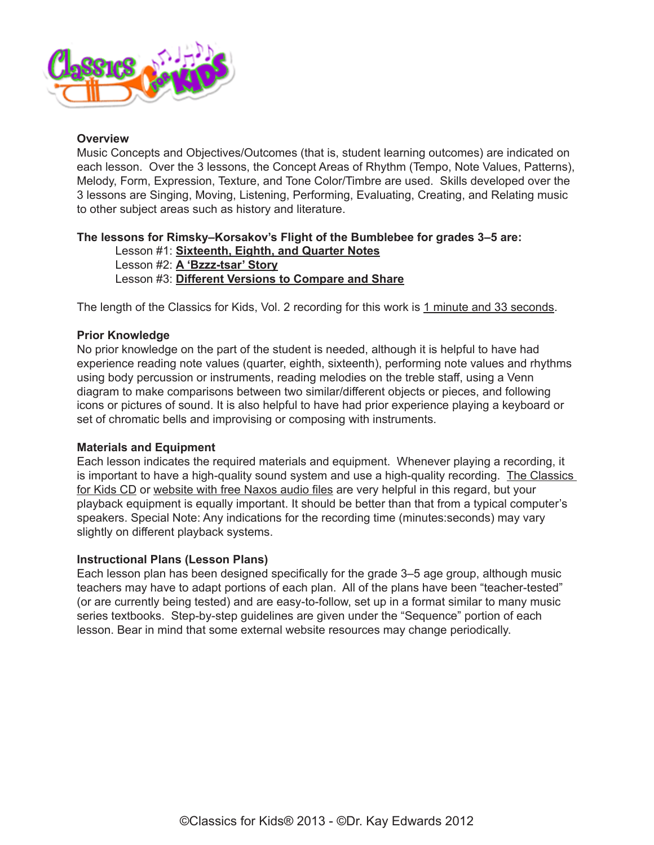

### **Overview**

Music Concepts and Objectives/Outcomes (that is, student learning outcomes) are indicated on each lesson. Over the 3 lessons, the Concept Areas of Rhythm (Tempo, Note Values, Patterns), Melody, Form, Expression, Texture, and Tone Color/Timbre are used. Skills developed over the 3 lessons are Singing, Moving, Listening, Performing, Evaluating, Creating, and Relating music to other subject areas such as history and literature.

# **The lessons for Rimsky–Korsakov's Flight of the Bumblebee for grades 3–5 are:**

Lesson #1: **[Sixteenth, Eighth, and Quarter Notes](http://www.classicsforkids.com/downloads/rimsky_korsakov/Rimsky-Korsakov_LessonPlans3-5_part1.pdf)** Lesson #2: **[A 'Bzzz-tsar' Story](http://www.classicsforkids.com/downloads/rimsky_korsakov/Rimsky-Korsakov_LessonPlans3-5_part2.pdf)**

Lesson #3: **[Different Versions to Compare and Share](http://www.classicsforkids.com/downloads/rimsky_korsakov/Rimsky_Korsakov_LessonPlans3-5_part3.pdf)**

The length of the Classics for Kids, Vol. 2 recording for this work is 1 minute and 33 seconds.

### **Prior Knowledge**

No prior knowledge on the part of the student is needed, although it is helpful to have had experience reading note values (quarter, eighth, sixteenth), performing note values and rhythms using body percussion or instruments, reading melodies on the treble staff, using a Venn diagram to make comparisons between two similar/different objects or pieces, and following icons or pictures of sound. It is also helpful to have had prior experience playing a keyboard or set of chromatic bells and improvising or composing with instruments.

### **Materials and Equipment**

Each lesson indicates the required materials and equipment. Whenever playing a recording, it is important to have a high-quality sound system and use a high-quality recording. The Classics [for Kids CD](https://secure2.convio.net/cpr/site/Ecommerce/390168608?VIEW_PRODUCT=true&product_id=1080&store_id=1101) or [website with free Naxos audio files](http://www.classicsforkids.com/music/hearthemusic.php?id=25) are very helpful in this regard, but your playback equipment is equally important. It should be better than that from a typical computer's speakers. Special Note: Any indications for the recording time (minutes:seconds) may vary slightly on different playback systems.

### **Instructional Plans (Lesson Plans)**

Each lesson plan has been designed specifically for the grade 3–5 age group, although music teachers may have to adapt portions of each plan. All of the plans have been "teacher-tested" (or are currently being tested) and are easy-to-follow, set up in a format similar to many music series textbooks. Step-by-step guidelines are given under the "Sequence" portion of each lesson. Bear in mind that some external website resources may change periodically.